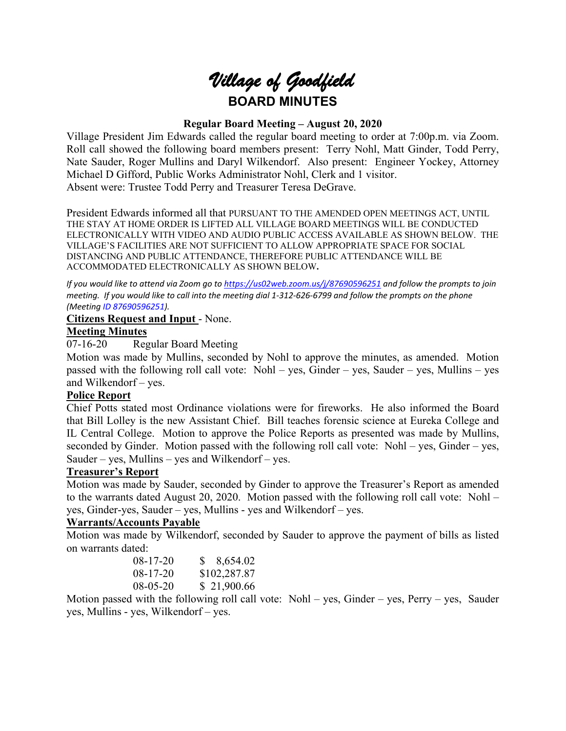# *Village of Goodfield* **BOARD MINUTES**

# **Regular Board Meeting – August 20, 2020**

Village President Jim Edwards called the regular board meeting to order at 7:00p.m. via Zoom. Roll call showed the following board members present: Terry Nohl, Matt Ginder, Todd Perry, Nate Sauder, Roger Mullins and Daryl Wilkendorf. Also present: Engineer Yockey, Attorney Michael D Gifford, Public Works Administrator Nohl, Clerk and 1 visitor. Absent were: Trustee Todd Perry and Treasurer Teresa DeGrave.

President Edwards informed all that PURSUANT TO THE AMENDED OPEN MEETINGS ACT, UNTIL THE STAY AT HOME ORDER IS LIFTED ALL VILLAGE BOARD MEETINGS WILL BE CONDUCTED ELECTRONICALLY WITH VIDEO AND AUDIO PUBLIC ACCESS AVAILABLE AS SHOWN BELOW. THE VILLAGE'S FACILITIES ARE NOT SUFFICIENT TO ALLOW APPROPRIATE SPACE FOR SOCIAL DISTANCING AND PUBLIC ATTENDANCE, THEREFORE PUBLIC ATTENDANCE WILL BE ACCOMMODATED ELECTRONICALLY AS SHOWN BELOW**.**

*If you would like to attend via Zoom go to <https://us02web.zoom.us/j/87690596251> and follow the prompts to join meeting. If you would like to call into the meeting dial 1-312-626-6799 and follow the prompts on the phone (Meeting ID 87690596251).*

#### **Citizens Request and Input** - None.

# **Meeting Minutes**

07-16-20 Regular Board Meeting

Motion was made by Mullins, seconded by Nohl to approve the minutes, as amended. Motion passed with the following roll call vote: Nohl – yes, Ginder – yes, Sauder – yes, Mullins – yes and Wilkendorf – yes.

# **Police Report**

Chief Potts stated most Ordinance violations were for fireworks. He also informed the Board that Bill Lolley is the new Assistant Chief. Bill teaches forensic science at Eureka College and IL Central College. Motion to approve the Police Reports as presented was made by Mullins, seconded by Ginder. Motion passed with the following roll call vote: Nohl – yes, Ginder – yes, Sauder – yes, Mullins – yes and Wilkendorf – yes.

# **Treasurer's Report**

Motion was made by Sauder, seconded by Ginder to approve the Treasurer's Report as amended to the warrants dated August 20, 2020. Motion passed with the following roll call vote: Nohl – yes, Ginder-yes, Sauder – yes, Mullins - yes and Wilkendorf – yes.

# **Warrants/Accounts Payable**

Motion was made by Wilkendorf, seconded by Sauder to approve the payment of bills as listed on warrants dated:

| $08 - 17 - 20$ | $\$ 8,654.02$ |
|----------------|---------------|
| $08 - 17 - 20$ | \$102,287.87  |
| $08 - 05 - 20$ | \$21,900.66   |

Motion passed with the following roll call vote:  $Nohl - yes$ , Ginder – yes, Perry – yes, Sauder yes, Mullins - yes, Wilkendorf – yes.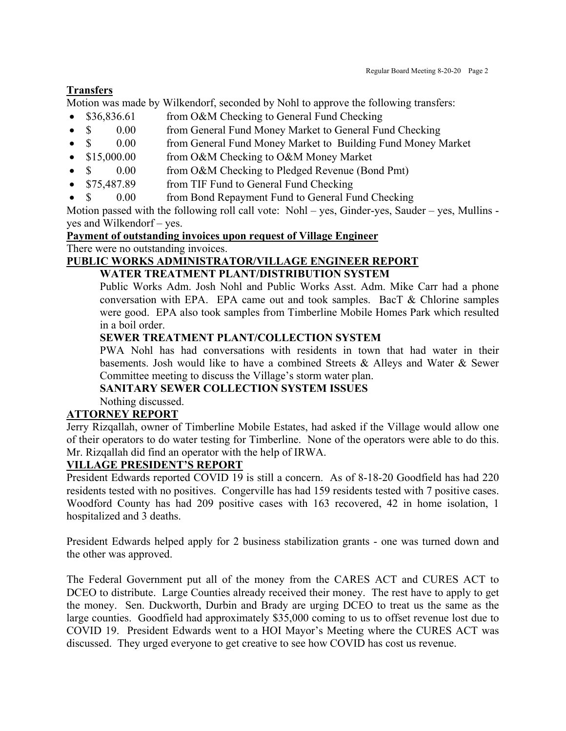# **Transfers**

Motion was made by Wilkendorf, seconded by Nohl to approve the following transfers:

- \$36,836.61 from O&M Checking to General Fund Checking
- \$ 0.00 from General Fund Money Market to General Fund Checking
- \$ 0.00 from General Fund Money Market to Building Fund Money Market
- \$15,000.00 from O&M Checking to O&M Money Market
- \$ 0.00 from O&M Checking to Pledged Revenue (Bond Pmt)
- \$75,487.89 from TIF Fund to General Fund Checking
	- \$ 0.00 from Bond Repayment Fund to General Fund Checking

Motion passed with the following roll call vote: Nohl – yes, Ginder-yes, Sauder – yes, Mullins yes and Wilkendorf – yes.

# **Payment of outstanding invoices upon request of Village Engineer**

There were no outstanding invoices.

#### **PUBLIC WORKS ADMINISTRATOR/VILLAGE ENGINEER REPORT WATER TREATMENT PLANT/DISTRIBUTION SYSTEM**

Public Works Adm. Josh Nohl and Public Works Asst. Adm. Mike Carr had a phone conversation with EPA. EPA came out and took samples. BacT & Chlorine samples were good. EPA also took samples from Timberline Mobile Homes Park which resulted in a boil order.

# **SEWER TREATMENT PLANT/COLLECTION SYSTEM**

PWA Nohl has had conversations with residents in town that had water in their basements. Josh would like to have a combined Streets  $\&$  Alleys and Water  $\&$  Sewer Committee meeting to discuss the Village's storm water plan.

# **SANITARY SEWER COLLECTION SYSTEM ISSUES**

Nothing discussed.

# **ATTORNEY REPORT**

Jerry Rizqallah, owner of Timberline Mobile Estates, had asked if the Village would allow one of their operators to do water testing for Timberline. None of the operators were able to do this. Mr. Rizqallah did find an operator with the help of IRWA.

# **VILLAGE PRESIDENT'S REPORT**

President Edwards reported COVID 19 is still a concern. As of 8-18-20 Goodfield has had 220 residents tested with no positives. Congerville has had 159 residents tested with 7 positive cases. Woodford County has had 209 positive cases with 163 recovered, 42 in home isolation, 1 hospitalized and 3 deaths.

President Edwards helped apply for 2 business stabilization grants - one was turned down and the other was approved.

The Federal Government put all of the money from the CARES ACT and CURES ACT to DCEO to distribute. Large Counties already received their money. The rest have to apply to get the money. Sen. Duckworth, Durbin and Brady are urging DCEO to treat us the same as the large counties. Goodfield had approximately \$35,000 coming to us to offset revenue lost due to COVID 19. President Edwards went to a HOI Mayor's Meeting where the CURES ACT was discussed. They urged everyone to get creative to see how COVID has cost us revenue.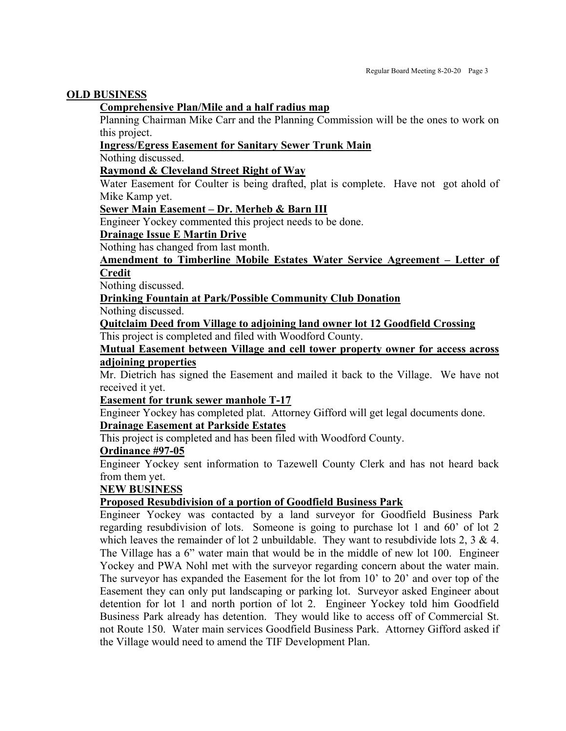#### **OLD BUSINESS**

## **Comprehensive Plan/Mile and a half radius map**

Planning Chairman Mike Carr and the Planning Commission will be the ones to work on this project.

#### **Ingress/Egress Easement for Sanitary Sewer Trunk Main**

Nothing discussed.

# **Raymond & Cleveland Street Right of Way**

Water Easement for Coulter is being drafted, plat is complete. Have not got ahold of Mike Kamp yet.

#### **Sewer Main Easement – Dr. Merheb & Barn III**

Engineer Yockey commented this project needs to be done.

# **Drainage Issue E Martin Drive**

Nothing has changed from last month.

# **Amendment to Timberline Mobile Estates Water Service Agreement – Letter of Credit**

Nothing discussed.

# **Drinking Fountain at Park/Possible Community Club Donation**

Nothing discussed.

**Quitclaim Deed from Village to adjoining land owner lot 12 Goodfield Crossing** This project is completed and filed with Woodford County.

## **Mutual Easement between Village and cell tower property owner for access across adjoining properties**

Mr. Dietrich has signed the Easement and mailed it back to the Village. We have not received it yet.

# **Easement for trunk sewer manhole T-17**

Engineer Yockey has completed plat. Attorney Gifford will get legal documents done.

# **Drainage Easement at Parkside Estates**

This project is completed and has been filed with Woodford County.

#### **Ordinance #97-05**

Engineer Yockey sent information to Tazewell County Clerk and has not heard back from them yet.

# **NEW BUSINESS**

# **Proposed Resubdivision of a portion of Goodfield Business Park**

Engineer Yockey was contacted by a land surveyor for Goodfield Business Park regarding resubdivision of lots. Someone is going to purchase lot 1 and 60' of lot 2 which leaves the remainder of lot 2 unbuildable. They want to resubdivide lots 2, 3  $\&$  4. The Village has a 6" water main that would be in the middle of new lot 100. Engineer Yockey and PWA Nohl met with the surveyor regarding concern about the water main. The surveyor has expanded the Easement for the lot from 10' to 20' and over top of the Easement they can only put landscaping or parking lot. Surveyor asked Engineer about detention for lot 1 and north portion of lot 2. Engineer Yockey told him Goodfield Business Park already has detention. They would like to access off of Commercial St. not Route 150. Water main services Goodfield Business Park. Attorney Gifford asked if the Village would need to amend the TIF Development Plan.